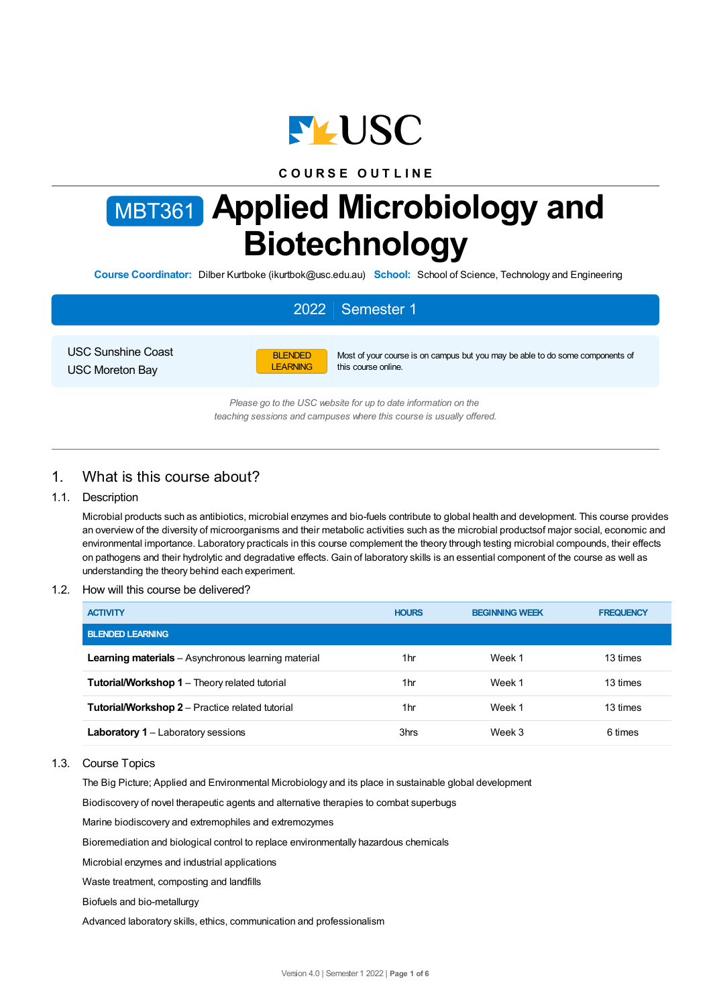

## **C O U R S E O U T L I N E**

# MBT361 **Applied Microbiology and Biotechnology**

**Course Coordinator:** Dilber Kurtboke (ikurtbok@usc.edu.au) **School:** School of Science, Technology and Engineering

# 2022 Semester 1

USC Sunshine Coast USC Moreton Bay



Most of your course is on campus but you may be able to do some components of this course online.

*Please go to the USC website for up to date information on the teaching sessions and campuses where this course is usually offered.*

## 1. What is this course about?

#### 1.1. Description

Microbial products such as antibiotics, microbial enzymes and bio-fuels contribute to global health and development. This course provides an overview of the diversity of microorganisms and their metabolic activities such as the microbial productsof major social, economic and environmental importance. Laboratory practicals in this course complement the theory through testing microbial compounds, their effects on pathogens and their hydrolytic and degradative effects. Gain of laboratory skills is an essential component of the course as well as understanding the theory behind each experiment.

#### 1.2. How will this course be delivered?

| <b>ACTIVITY</b>                                            | <b>HOURS</b> | <b>BEGINNING WEEK</b> | <b>FREQUENCY</b> |
|------------------------------------------------------------|--------------|-----------------------|------------------|
| <b>BLENDED LEARNING</b>                                    |              |                       |                  |
| <b>Learning materials</b> – Asynchronous learning material | 1hr          | Week 1                | 13 times         |
| <b>Tutorial/Workshop 1 – Theory related tutorial</b>       | 1hr          | Week 1                | 13 times         |
| <b>Tutorial/Workshop 2</b> – Practice related tutorial     | 1hr          | Week 1                | 13 times         |
| <b>Laboratory 1</b> – Laboratory sessions                  | 3hrs         | Week 3                | 6 times          |

1.3. Course Topics

The Big Picture; Applied and Environmental Microbiology and its place in sustainable global development

Biodiscovery of novel therapeutic agents and alternative therapies to combat superbugs

Marine biodiscovery and extremophiles and extremozymes

Bioremediation and biological control to replace environmentally hazardous chemicals

Microbial enzymes and industrial applications

Waste treatment, composting and landfills

Biofuels and bio-metallurgy

Advanced laboratory skills, ethics, communication and professionalism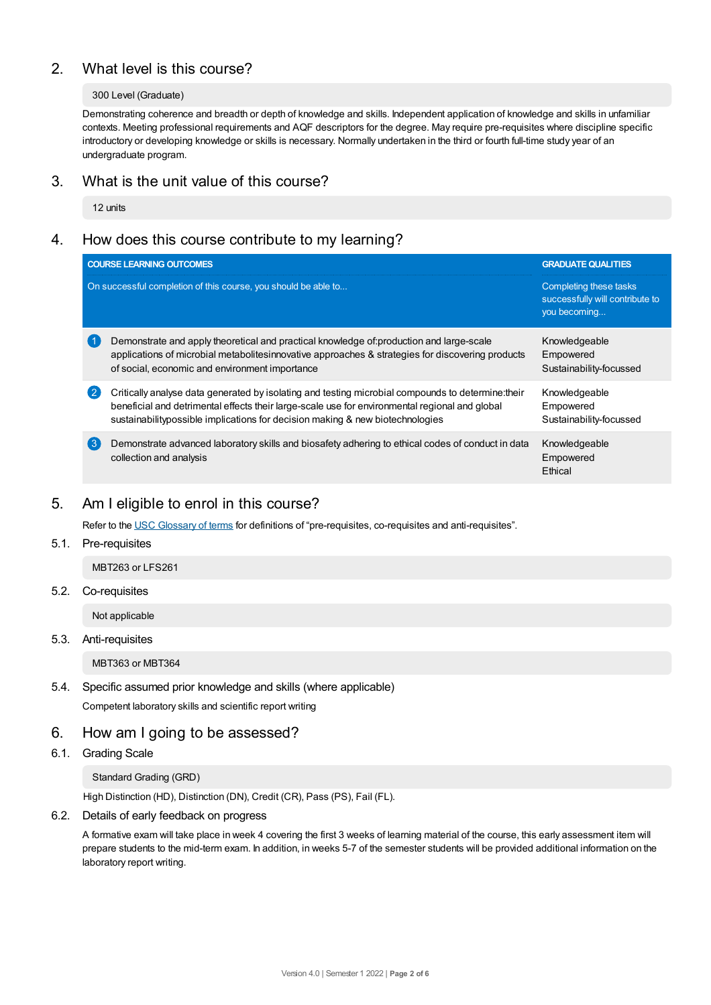# 2. What level is this course?

#### 300 Level (Graduate)

Demonstrating coherence and breadth or depth of knowledge and skills. Independent application of knowledge and skills in unfamiliar contexts. Meeting professional requirements and AQF descriptors for the degree. May require pre-requisites where discipline specific introductory or developing knowledge or skills is necessary. Normally undertaken in the third or fourth full-time study year of an undergraduate program.

## 3. What is the unit value of this course?

12 units

# 4. How does this course contribute to my learning?

|                                                                                                                                                                                                                                                                                        | <b>GRADUATE QUALITIES</b>                                                                         |  |
|----------------------------------------------------------------------------------------------------------------------------------------------------------------------------------------------------------------------------------------------------------------------------------------|---------------------------------------------------------------------------------------------------|--|
|                                                                                                                                                                                                                                                                                        | Completing these tasks<br>successfully will contribute to<br>you becoming                         |  |
| Demonstrate and apply theoretical and practical knowledge of:production and large-scale<br>applications of microbial metabolitesinnovative approaches & strategies for discovering products<br>of social, economic and environment importance                                          | Knowledgeable<br>Empowered<br>Sustainability-focussed                                             |  |
| Critically analyse data generated by isolating and testing microbial compounds to determine: their<br>beneficial and detrimental effects their large-scale use for environmental regional and global<br>sustainability possible implications for decision making & new biotechnologies | Knowledgeable<br>Empowered<br>Sustainability-focussed                                             |  |
| Demonstrate advanced laboratory skills and biosafety adhering to ethical codes of conduct in data<br>collection and analysis                                                                                                                                                           | Knowledgeable<br>Empowered<br>Ethical                                                             |  |
|                                                                                                                                                                                                                                                                                        | <b>COURSE LEARNING OUTCOMES</b><br>On successful completion of this course, you should be able to |  |

## 5. Am Ieligible to enrol in this course?

Refer to the USC [Glossary](https://www.usc.edu.au/about/policies-and-procedures/glossary-of-terms-for-policy-and-procedures) of terms for definitions of "pre-requisites, co-requisites and anti-requisites".

## 5.1. Pre-requisites

MBT263 or LFS261

#### 5.2. Co-requisites

Not applicable

## 5.3. Anti-requisites

MBT363 or MBT364

## 5.4. Specific assumed prior knowledge and skills (where applicable)

Competent laboratory skills and scientific report writing

## 6. How am Igoing to be assessed?

#### 6.1. Grading Scale

#### Standard Grading (GRD)

High Distinction (HD), Distinction (DN), Credit (CR), Pass (PS), Fail (FL).

## 6.2. Details of early feedback on progress

A formative exam will take place in week 4 covering the first 3 weeks of learning material of the course, this early assessment item will prepare students to the mid-term exam. In addition, in weeks 5-7 of the semester students will be provided additional information on the laboratory report writing.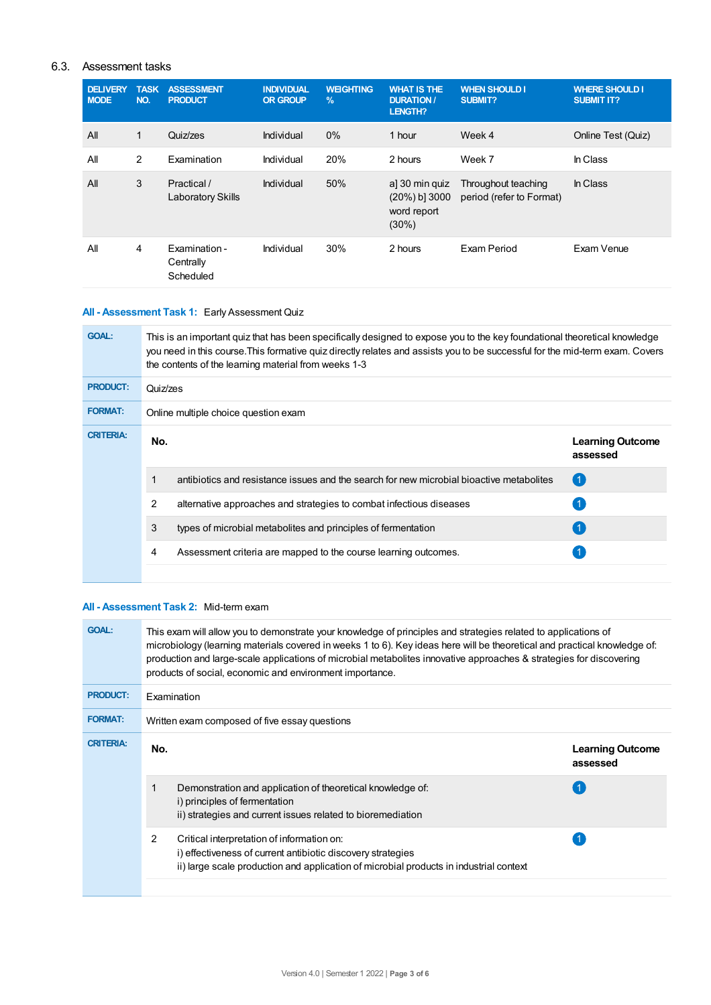## 6.3. Assessment tasks

| <b>DELIVERY</b><br><b>MODE</b> | <b>TASK</b><br>NO. | <b>ASSESSMENT</b><br><b>PRODUCT</b>     | <b>INDIVIDUAL</b><br><b>OR GROUP</b> | <b>WEIGHTING</b><br>$\frac{9}{6}$ | <b>WHAT IS THE</b><br><b>DURATION /</b><br><b>LENGTH?</b>     | <b>WHEN SHOULD I</b><br>SUBMIT?                 | <b>WHERE SHOULD I</b><br><b>SUBMIT IT?</b> |
|--------------------------------|--------------------|-----------------------------------------|--------------------------------------|-----------------------------------|---------------------------------------------------------------|-------------------------------------------------|--------------------------------------------|
| All                            | 1                  | Quiz/zes                                | Individual                           | 0%                                | 1 hour                                                        | Week 4                                          | Online Test (Quiz)                         |
| All                            | 2                  | Examination                             | Individual                           | 20%                               | 2 hours                                                       | Week 7                                          | In Class                                   |
| All                            | 3                  | Practical /<br><b>Laboratory Skills</b> | Individual                           | 50%                               | a] 30 min quiz<br>$(20\%)$ b] 3000<br>word report<br>$(30\%)$ | Throughout teaching<br>period (refer to Format) | In Class                                   |
| All                            | 4                  | Examination -<br>Centrally<br>Scheduled | Individual                           | 30%                               | 2 hours                                                       | Exam Period                                     | Exam Venue                                 |

## **All - Assessment Task 1:** Early Assessment Quiz

| <b>GOAL:</b>     | This is an important quiz that has been specifically designed to expose you to the key foundational theoretical knowledge<br>you need in this course. This formative quiz directly relates and assists you to be successful for the mid-term exam. Covers<br>the contents of the learning material from weeks 1-3 |                                                                                          |                                     |  |  |
|------------------|-------------------------------------------------------------------------------------------------------------------------------------------------------------------------------------------------------------------------------------------------------------------------------------------------------------------|------------------------------------------------------------------------------------------|-------------------------------------|--|--|
| <b>PRODUCT:</b>  | Quiz/zes                                                                                                                                                                                                                                                                                                          |                                                                                          |                                     |  |  |
| <b>FORMAT:</b>   | Online multiple choice question exam                                                                                                                                                                                                                                                                              |                                                                                          |                                     |  |  |
| <b>CRITERIA:</b> | No.                                                                                                                                                                                                                                                                                                               |                                                                                          | <b>Learning Outcome</b><br>assessed |  |  |
|                  |                                                                                                                                                                                                                                                                                                                   | antibiotics and resistance issues and the search for new microbial bioactive metabolites | $\overline{1}$                      |  |  |
|                  | 2                                                                                                                                                                                                                                                                                                                 | alternative approaches and strategies to combat infectious diseases                      |                                     |  |  |
|                  | 3                                                                                                                                                                                                                                                                                                                 | types of microbial metabolites and principles of fermentation                            | (1)                                 |  |  |
|                  | 4                                                                                                                                                                                                                                                                                                                 | Assessment criteria are mapped to the course learning outcomes.                          |                                     |  |  |
|                  |                                                                                                                                                                                                                                                                                                                   |                                                                                          |                                     |  |  |

#### **All - Assessment Task 2:** Mid-term exam

| <b>GOAL:</b>     |                | This exam will allow you to demonstrate your knowledge of principles and strategies related to applications of<br>microbiology (learning materials covered in weeks 1 to 6). Key ideas here will be theoretical and practical knowledge of:<br>production and large-scale applications of microbial metabolites innovative approaches & strategies for discovering<br>products of social, economic and environment importance. |                                     |  |  |  |
|------------------|----------------|--------------------------------------------------------------------------------------------------------------------------------------------------------------------------------------------------------------------------------------------------------------------------------------------------------------------------------------------------------------------------------------------------------------------------------|-------------------------------------|--|--|--|
| <b>PRODUCT:</b>  |                | <b>Fxamination</b>                                                                                                                                                                                                                                                                                                                                                                                                             |                                     |  |  |  |
| <b>FORMAT:</b>   |                | Written exam composed of five essay questions                                                                                                                                                                                                                                                                                                                                                                                  |                                     |  |  |  |
| <b>CRITERIA:</b> | No.            |                                                                                                                                                                                                                                                                                                                                                                                                                                | <b>Learning Outcome</b><br>assessed |  |  |  |
|                  | 1              | Demonstration and application of theoretical knowledge of:<br>i) principles of fermentation<br>ii) strategies and current issues related to bioremediation                                                                                                                                                                                                                                                                     |                                     |  |  |  |
|                  | $\overline{2}$ | Critical interpretation of information on:<br>i) effectiveness of current antibiotic discovery strategies<br>ii) large scale production and application of microbial products in industrial context                                                                                                                                                                                                                            |                                     |  |  |  |
|                  |                |                                                                                                                                                                                                                                                                                                                                                                                                                                |                                     |  |  |  |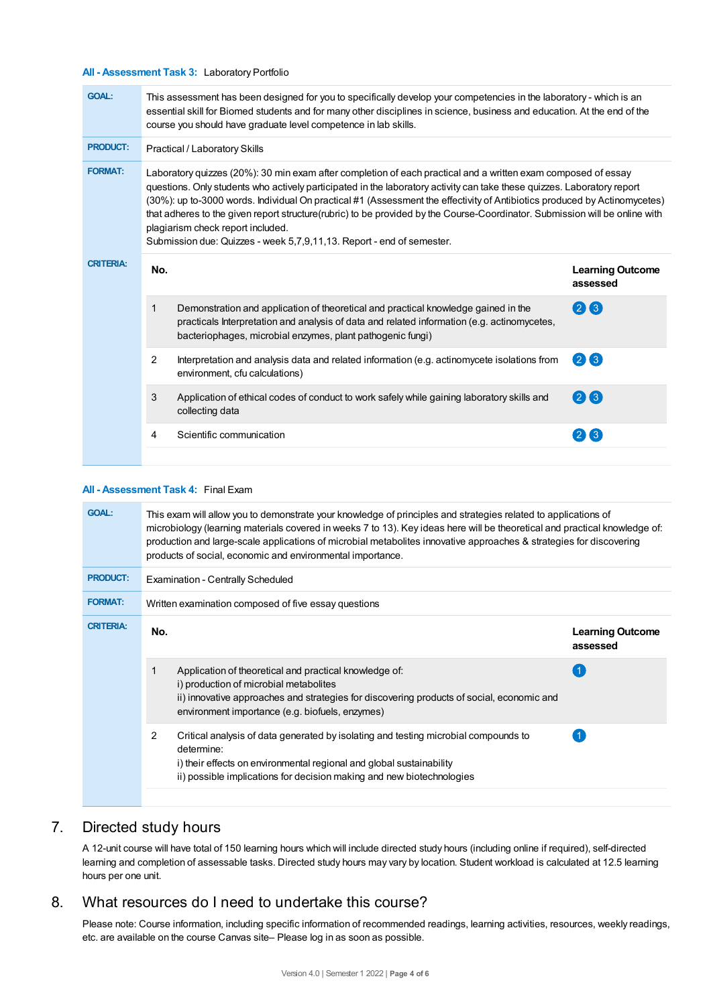#### **All - Assessment Task 3:** Laboratory Portfolio

| <b>GOAL:</b>     | This assessment has been designed for you to specifically develop your competencies in the laboratory - which is an<br>essential skill for Biomed students and for many other disciplines in science, business and education. At the end of the<br>course you should have graduate level competence in lab skills. |                                                                                                                                                                                                                                                                                                                                                                                                                                                                                                                                                                                                                    |                                     |  |  |
|------------------|--------------------------------------------------------------------------------------------------------------------------------------------------------------------------------------------------------------------------------------------------------------------------------------------------------------------|--------------------------------------------------------------------------------------------------------------------------------------------------------------------------------------------------------------------------------------------------------------------------------------------------------------------------------------------------------------------------------------------------------------------------------------------------------------------------------------------------------------------------------------------------------------------------------------------------------------------|-------------------------------------|--|--|
| <b>PRODUCT:</b>  | Practical / Laboratory Skills                                                                                                                                                                                                                                                                                      |                                                                                                                                                                                                                                                                                                                                                                                                                                                                                                                                                                                                                    |                                     |  |  |
| <b>FORMAT:</b>   |                                                                                                                                                                                                                                                                                                                    | Laboratory quizzes (20%): 30 min exam after completion of each practical and a written exam composed of essay<br>questions. Only students who actively participated in the laboratory activity can take these quizzes. Laboratory report<br>(30%): up to-3000 words. Individual On practical #1 (Assessment the effectivity of Antibiotics produced by Actinomycetes)<br>that adheres to the given report structure(rubric) to be provided by the Course-Coordinator. Submission will be online with<br>plagiarism check report included.<br>Submission due: Quizzes - week 5,7,9,11,13. Report - end of semester. |                                     |  |  |
| <b>CRITERIA:</b> | No.                                                                                                                                                                                                                                                                                                                |                                                                                                                                                                                                                                                                                                                                                                                                                                                                                                                                                                                                                    | <b>Learning Outcome</b><br>assessed |  |  |
|                  | 1                                                                                                                                                                                                                                                                                                                  | Demonstration and application of theoretical and practical knowledge gained in the<br>practicals Interpretation and analysis of data and related information (e.g. actinomycetes,<br>bacteriophages, microbial enzymes, plant pathogenic fungi)                                                                                                                                                                                                                                                                                                                                                                    | 23                                  |  |  |
|                  | 2                                                                                                                                                                                                                                                                                                                  | Interpretation and analysis data and related information (e.g. actinomycete isolations from<br>environment, cfu calculations)                                                                                                                                                                                                                                                                                                                                                                                                                                                                                      | 26                                  |  |  |
|                  | 3                                                                                                                                                                                                                                                                                                                  | Application of ethical codes of conduct to work safely while gaining laboratory skills and<br>collecting data                                                                                                                                                                                                                                                                                                                                                                                                                                                                                                      | $(2)$ $(3)$                         |  |  |
|                  | 4                                                                                                                                                                                                                                                                                                                  | Scientific communication                                                                                                                                                                                                                                                                                                                                                                                                                                                                                                                                                                                           | 3                                   |  |  |
|                  |                                                                                                                                                                                                                                                                                                                    |                                                                                                                                                                                                                                                                                                                                                                                                                                                                                                                                                                                                                    |                                     |  |  |

## **All - Assessment Task 4:** Final Exam

| <b>GOAL:</b>     | This exam will allow you to demonstrate your knowledge of principles and strategies related to applications of<br>microbiology (learning materials covered in weeks 7 to 13). Key ideas here will be theoretical and practical knowledge of:<br>production and large-scale applications of microbial metabolites innovative approaches & strategies for discovering<br>products of social, economic and environmental importance. |                                                                                                                                                                                                                                                    |                                     |  |  |  |
|------------------|-----------------------------------------------------------------------------------------------------------------------------------------------------------------------------------------------------------------------------------------------------------------------------------------------------------------------------------------------------------------------------------------------------------------------------------|----------------------------------------------------------------------------------------------------------------------------------------------------------------------------------------------------------------------------------------------------|-------------------------------------|--|--|--|
| <b>PRODUCT:</b>  | <b>Examination - Centrally Scheduled</b>                                                                                                                                                                                                                                                                                                                                                                                          |                                                                                                                                                                                                                                                    |                                     |  |  |  |
| <b>FORMAT:</b>   |                                                                                                                                                                                                                                                                                                                                                                                                                                   | Written examination composed of five essay questions                                                                                                                                                                                               |                                     |  |  |  |
| <b>CRITERIA:</b> | No.                                                                                                                                                                                                                                                                                                                                                                                                                               |                                                                                                                                                                                                                                                    | <b>Learning Outcome</b><br>assessed |  |  |  |
|                  |                                                                                                                                                                                                                                                                                                                                                                                                                                   | Application of theoretical and practical knowledge of:<br>i) production of microbial metabolites<br>ii) innovative approaches and strategies for discovering products of social, economic and<br>environment importance (e.g. biofuels, enzymes)   |                                     |  |  |  |
|                  | 2                                                                                                                                                                                                                                                                                                                                                                                                                                 | Critical analysis of data generated by isolating and testing microbial compounds to<br>determine:<br>i) their effects on environmental regional and global sustainability<br>ii) possible implications for decision making and new biotechnologies |                                     |  |  |  |
|                  |                                                                                                                                                                                                                                                                                                                                                                                                                                   |                                                                                                                                                                                                                                                    |                                     |  |  |  |

# 7. Directed study hours

A 12-unit course will have total of 150 learning hours which will include directed study hours (including online if required), self-directed learning and completion of assessable tasks. Directed study hours may vary by location. Student workload is calculated at 12.5 learning hours per one unit.

## 8. What resources do I need to undertake this course?

Please note: Course information, including specific information of recommended readings, learning activities, resources, weekly readings, etc. are available on the course Canvas site– Please log in as soon as possible.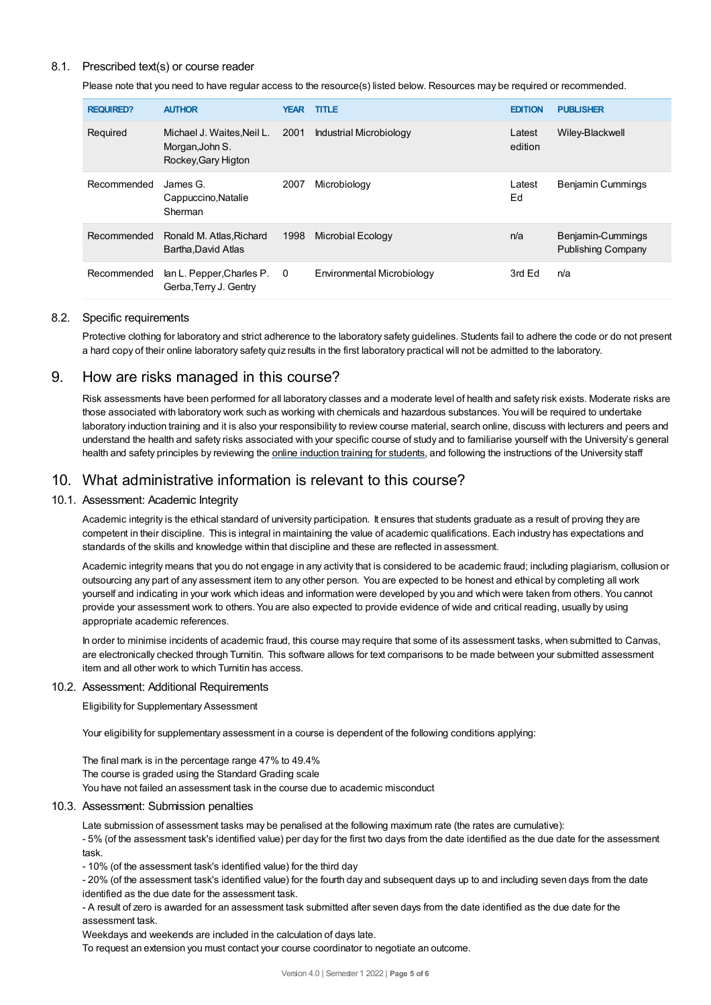#### 8.1. Prescribed text(s) or course reader

Please note that you need to have regular access to the resource(s) listed below. Resources may be required or recommended.

| <b>REQUIRED?</b> | <b>AUTHOR</b>                                                        | <b>YEAR</b> | <b>TITLE</b>                   | <b>EDITION</b>    | <b>PUBLISHER</b>                        |
|------------------|----------------------------------------------------------------------|-------------|--------------------------------|-------------------|-----------------------------------------|
| Required         | Michael J. Waites, Neil L.<br>Morgan, John S.<br>Rockey, Gary Higton | 2001        | <b>Industrial Microbiology</b> | Latest<br>edition | Wiley-Blackwell                         |
| Recommended      | James G.<br>Cappuccino, Natalie<br>Sherman                           | 2007        | Microbiology                   | Latest<br>Ed      | <b>Benjamin Cummings</b>                |
| Recommended      | Ronald M. Atlas, Richard<br>Bartha, David Atlas                      | 1998        | Microbial Ecology              | n/a               | Benjamin-Cummings<br>Publishing Company |
| Recommended      | lan L. Pepper, Charles P. 0<br>Gerba, Terry J. Gentry                |             | Environmental Microbiology     | 3rd Ed            | n/a                                     |

#### 8.2. Specific requirements

Protective clothing for laboratory and strict adherence to the laboratory safety guidelines. Students fail to adhere the code or do not present a hard copy of their online laboratory safety quiz results in the first laboratory practical will not be admitted to the laboratory.

## 9. How are risks managed in this course?

Risk assessments have been performed for all laboratory classes and a moderate level of health and safety risk exists. Moderate risks are those associated with laboratory work such as working with chemicals and hazardous substances. You will be required to undertake laboratory induction training and it is also your responsibility to review course material, search online, discuss with lecturers and peers and understand the health and safety risks associated with your specific course of study and to familiarise yourself with the University's general health and safety principles by reviewing the online [induction](https://online.usc.edu.au/webapps/blackboard/content/listContentEditable.jsp?content_id=_632657_1&course_id=_14432_1) training for students, and following the instructions of the University staff

## 10. What administrative information is relevant to this course?

#### 10.1. Assessment: Academic Integrity

Academic integrity is the ethical standard of university participation. It ensures that students graduate as a result of proving they are competent in their discipline. This is integral in maintaining the value of academic qualifications. Each industry has expectations and standards of the skills and knowledge within that discipline and these are reflected in assessment.

Academic integrity means that you do not engage in any activity that is considered to be academic fraud; including plagiarism, collusion or outsourcing any part of any assessment item to any other person. You are expected to be honest and ethical by completing all work yourself and indicating in your work which ideas and information were developed by you and which were taken from others. You cannot provide your assessment work to others.You are also expected to provide evidence of wide and critical reading, usually by using appropriate academic references.

In order to minimise incidents of academic fraud, this course may require that some of its assessment tasks, when submitted to Canvas, are electronically checked through Turnitin. This software allows for text comparisons to be made between your submitted assessment item and all other work to which Turnitin has access.

#### 10.2. Assessment: Additional Requirements

Eligibility for Supplementary Assessment

Your eligibility for supplementary assessment in a course is dependent of the following conditions applying:

The final mark is in the percentage range 47% to 49.4% The course is graded using the Standard Grading scale You have not failed an assessment task in the course due to academic misconduct

#### 10.3. Assessment: Submission penalties

Late submission of assessment tasks may be penalised at the following maximum rate (the rates are cumulative):

- 5% (of the assessment task's identified value) per day for the first two days from the date identified as the due date for the assessment task.

- 10% (of the assessment task's identified value) for the third day

- 20% (of the assessment task's identified value) for the fourth day and subsequent days up to and including seven days from the date identified as the due date for the assessment task.

- A result of zero is awarded for an assessment task submitted after seven days from the date identified as the due date for the assessment task.

Weekdays and weekends are included in the calculation of days late.

To request an extension you must contact your course coordinator to negotiate an outcome.